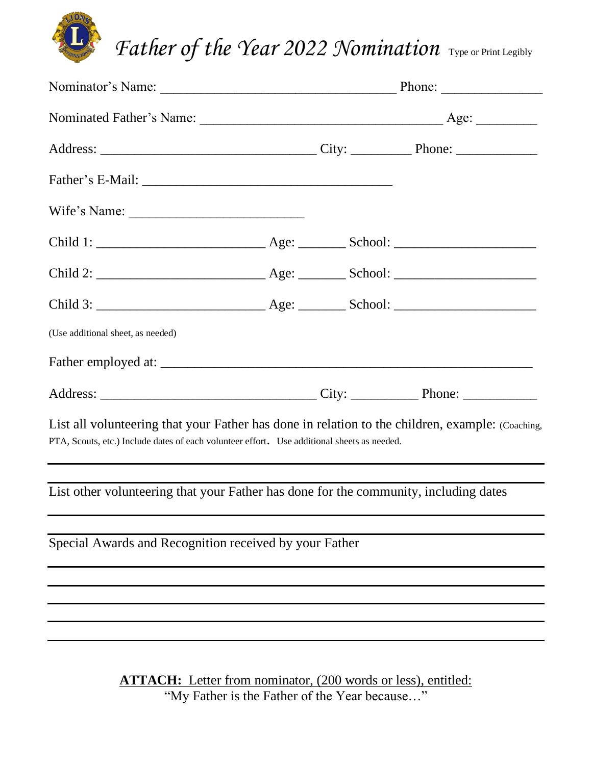

| Wife's Name:                                                                                                                                                                                    |  |  |  |
|-------------------------------------------------------------------------------------------------------------------------------------------------------------------------------------------------|--|--|--|
|                                                                                                                                                                                                 |  |  |  |
|                                                                                                                                                                                                 |  |  |  |
|                                                                                                                                                                                                 |  |  |  |
| (Use additional sheet, as needed)                                                                                                                                                               |  |  |  |
|                                                                                                                                                                                                 |  |  |  |
|                                                                                                                                                                                                 |  |  |  |
| List all volunteering that your Father has done in relation to the children, example: (Coaching,<br>PTA, Scouts, etc.) Include dates of each volunteer effort. Use additional sheets as needed. |  |  |  |
| List other volunteering that your Father has done for the community, including dates                                                                                                            |  |  |  |
| Special Awards and Recognition received by your Father                                                                                                                                          |  |  |  |
|                                                                                                                                                                                                 |  |  |  |
|                                                                                                                                                                                                 |  |  |  |
|                                                                                                                                                                                                 |  |  |  |
| <b>ATTACH:</b> Letter from nominator, (200 words or less), entitled:                                                                                                                            |  |  |  |

"My Father is the Father of the Year because…"